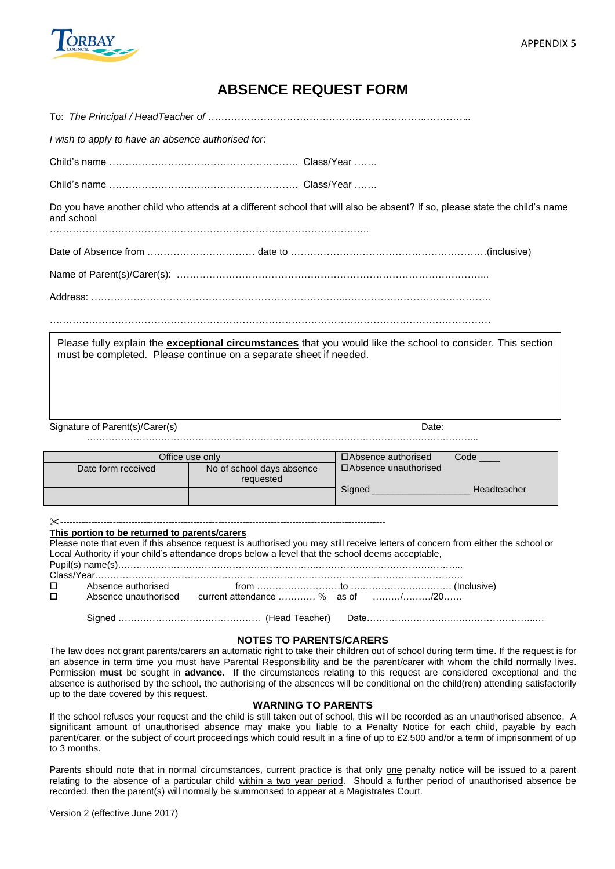

## **ABSENCE REQUEST FORM**

|                                                                   | I wish to apply to have an absence authorised for. |                                                                                                                                                                                                                                    |                       |      |  |
|-------------------------------------------------------------------|----------------------------------------------------|------------------------------------------------------------------------------------------------------------------------------------------------------------------------------------------------------------------------------------|-----------------------|------|--|
|                                                                   |                                                    |                                                                                                                                                                                                                                    |                       |      |  |
|                                                                   |                                                    |                                                                                                                                                                                                                                    |                       |      |  |
| and school                                                        |                                                    | Do you have another child who attends at a different school that will also be absent? If so, please state the child's name                                                                                                         |                       |      |  |
|                                                                   |                                                    |                                                                                                                                                                                                                                    |                       |      |  |
|                                                                   |                                                    |                                                                                                                                                                                                                                    |                       |      |  |
|                                                                   |                                                    |                                                                                                                                                                                                                                    |                       |      |  |
|                                                                   |                                                    |                                                                                                                                                                                                                                    |                       |      |  |
| must be completed. Please continue on a separate sheet if needed. |                                                    |                                                                                                                                                                                                                                    |                       |      |  |
| Signature of Parent(s)/Carer(s)                                   |                                                    |                                                                                                                                                                                                                                    | Date:                 |      |  |
| Office use only                                                   |                                                    |                                                                                                                                                                                                                                    | □Absence authorised   | Code |  |
|                                                                   | Date form received                                 | No of school days absence<br>requested                                                                                                                                                                                             | □Absence unauthorised |      |  |
|                                                                   |                                                    |                                                                                                                                                                                                                                    |                       |      |  |
|                                                                   | This portion to be returned to parents/carers      | Please note that even if this absence request is authorised you may still receive letters of concern from either the school or<br>Local Authority if your child's attendance drops below a level that the school deems acceptable, |                       |      |  |
|                                                                   |                                                    |                                                                                                                                                                                                                                    |                       |      |  |
| п<br>□                                                            | Absence authorised                                 | Absence unauthorised current attendance  % as of //20                                                                                                                                                                              |                       |      |  |
|                                                                   |                                                    |                                                                                                                                                                                                                                    |                       |      |  |

## **NOTES TO PARENTS/CARERS**

The law does not grant parents/carers an automatic right to take their children out of school during term time. If the request is for an absence in term time you must have Parental Responsibility and be the parent/carer with whom the child normally lives. Permission **must** be sought in **advance.** If the circumstances relating to this request are considered exceptional and the absence is authorised by the school, the authorising of the absences will be conditional on the child(ren) attending satisfactorily up to the date covered by this request.

## **WARNING TO PARENTS**

If the school refuses your request and the child is still taken out of school, this will be recorded as an unauthorised absence. A significant amount of unauthorised absence may make you liable to a Penalty Notice for each child, payable by each parent/carer, or the subject of court proceedings which could result in a fine of up to £2,500 and/or a term of imprisonment of up to 3 months.

Parents should note that in normal circumstances, current practice is that only one penalty notice will be issued to a parent relating to the absence of a particular child within a two year period. Should a further period of unauthorised absence be recorded, then the parent(s) will normally be summonsed to appear at a Magistrates Court.